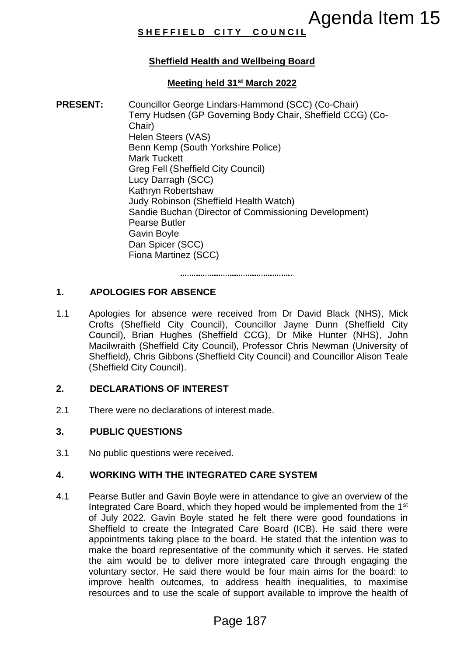# **S H E F F I E L D C I T Y C O U N C I L**

# **Sheffield Health and Wellbeing Board**

# **Meeting held 31st March 2022**

**PRESENT:** Councillor George Lindars-Hammond (SCC) (Co-Chair) Terry Hudsen (GP Governing Body Chair, Sheffield CCG) (Co-Chair) Helen Steers (VAS) Benn Kemp (South Yorkshire Police) Mark Tuckett Greg Fell (Sheffield City Council) Lucy Darragh (SCC) Kathryn Robertshaw Judy Robinson (Sheffield Health Watch) Sandie Buchan (Director of Commissioning Development) Pearse Butler Gavin Boyle Dan Spicer (SCC) Fiona Martinez (SCC) **Agenda Item 15**<br> **Agenda Item 15**<br> **hand Wellbeing Board**<br> **Pade 31\*** March 2022<br>
Index-Hammond (SCC) (Co-Chair)<br>
coverning Body Chair, Sheffield CCG) (Co-Chair)<br>
(Yorkshire Police)<br>
(Yorkshire Police)<br>
(Yorkshire Police)

# **1. APOLOGIES FOR ABSENCE**

1.1 Apologies for absence were received from Dr David Black (NHS), Mick Crofts (Sheffield City Council), Councillor Jayne Dunn (Sheffield City Council), Brian Hughes (Sheffield CCG), Dr Mike Hunter (NHS), John Macilwraith (Sheffield City Council), Professor Chris Newman (University of Sheffield), Chris Gibbons (Sheffield City Council) and Councillor Alison Teale (Sheffield City Council).

## **2. DECLARATIONS OF INTEREST**

2.1 There were no declarations of interest made.

### **3. PUBLIC QUESTIONS**

3.1 No public questions were received.

### **4. WORKING WITH THE INTEGRATED CARE SYSTEM**

4.1 Pearse Butler and Gavin Boyle were in attendance to give an overview of the Integrated Care Board, which they hoped would be implemented from the 1st of July 2022. Gavin Boyle stated he felt there were good foundations in Sheffield to create the Integrated Care Board (ICB). He said there were appointments taking place to the board. He stated that the intention was to make the board representative of the community which it serves. He stated the aim would be to deliver more integrated care through engaging the voluntary sector. He said there would be four main aims for the board: to improve health outcomes, to address health inequalities, to maximise resources and to use the scale of support available to improve the health of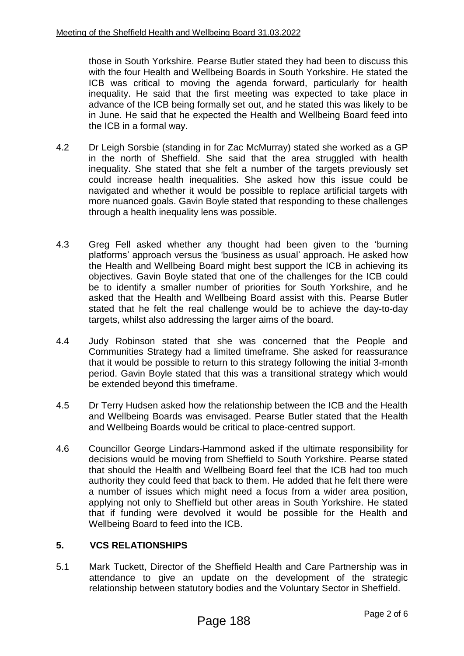those in South Yorkshire. Pearse Butler stated they had been to discuss this with the four Health and Wellbeing Boards in South Yorkshire. He stated the ICB was critical to moving the agenda forward, particularly for health inequality. He said that the first meeting was expected to take place in advance of the ICB being formally set out, and he stated this was likely to be in June. He said that he expected the Health and Wellbeing Board feed into the ICB in a formal way.

- 4.2 Dr Leigh Sorsbie (standing in for Zac McMurray) stated she worked as a GP in the north of Sheffield. She said that the area struggled with health inequality. She stated that she felt a number of the targets previously set could increase health inequalities. She asked how this issue could be navigated and whether it would be possible to replace artificial targets with more nuanced goals. Gavin Boyle stated that responding to these challenges through a health inequality lens was possible.
- 4.3 Greg Fell asked whether any thought had been given to the 'burning platforms' approach versus the 'business as usual' approach. He asked how the Health and Wellbeing Board might best support the ICB in achieving its objectives. Gavin Boyle stated that one of the challenges for the ICB could be to identify a smaller number of priorities for South Yorkshire, and he asked that the Health and Wellbeing Board assist with this. Pearse Butler stated that he felt the real challenge would be to achieve the day-to-day targets, whilst also addressing the larger aims of the board.
- 4.4 Judy Robinson stated that she was concerned that the People and Communities Strategy had a limited timeframe. She asked for reassurance that it would be possible to return to this strategy following the initial 3-month period. Gavin Boyle stated that this was a transitional strategy which would be extended beyond this timeframe.
- 4.5 Dr Terry Hudsen asked how the relationship between the ICB and the Health and Wellbeing Boards was envisaged. Pearse Butler stated that the Health and Wellbeing Boards would be critical to place-centred support.
- 4.6 Councillor George Lindars-Hammond asked if the ultimate responsibility for decisions would be moving from Sheffield to South Yorkshire. Pearse stated that should the Health and Wellbeing Board feel that the ICB had too much authority they could feed that back to them. He added that he felt there were a number of issues which might need a focus from a wider area position, applying not only to Sheffield but other areas in South Yorkshire. He stated that if funding were devolved it would be possible for the Health and Wellbeing Board to feed into the ICB.

# **5. VCS RELATIONSHIPS**

5.1 Mark Tuckett, Director of the Sheffield Health and Care Partnership was in attendance to give an update on the development of the strategic relationship between statutory bodies and the Voluntary Sector in Sheffield.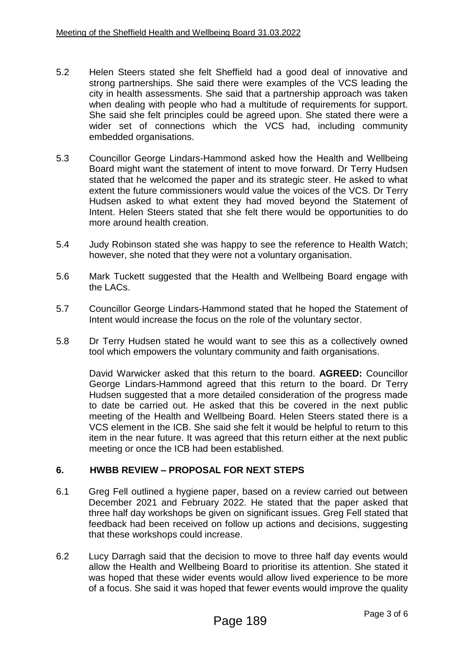- 5.2 Helen Steers stated she felt Sheffield had a good deal of innovative and strong partnerships. She said there were examples of the VCS leading the city in health assessments. She said that a partnership approach was taken when dealing with people who had a multitude of requirements for support. She said she felt principles could be agreed upon. She stated there were a wider set of connections which the VCS had, including community embedded organisations.
- 5.3 Councillor George Lindars-Hammond asked how the Health and Wellbeing Board might want the statement of intent to move forward. Dr Terry Hudsen stated that he welcomed the paper and its strategic steer. He asked to what extent the future commissioners would value the voices of the VCS. Dr Terry Hudsen asked to what extent they had moved beyond the Statement of Intent. Helen Steers stated that she felt there would be opportunities to do more around health creation.
- 5.4 Judy Robinson stated she was happy to see the reference to Health Watch; however, she noted that they were not a voluntary organisation.
- 5.6 Mark Tuckett suggested that the Health and Wellbeing Board engage with the LACs.
- 5.7 Councillor George Lindars-Hammond stated that he hoped the Statement of Intent would increase the focus on the role of the voluntary sector.
- 5.8 Dr Terry Hudsen stated he would want to see this as a collectively owned tool which empowers the voluntary community and faith organisations.

David Warwicker asked that this return to the board. **AGREED:** Councillor George Lindars-Hammond agreed that this return to the board. Dr Terry Hudsen suggested that a more detailed consideration of the progress made to date be carried out. He asked that this be covered in the next public meeting of the Health and Wellbeing Board. Helen Steers stated there is a VCS element in the ICB. She said she felt it would be helpful to return to this item in the near future. It was agreed that this return either at the next public meeting or once the ICB had been established.

### **6. HWBB REVIEW – PROPOSAL FOR NEXT STEPS**

- 6.1 Greg Fell outlined a hygiene paper, based on a review carried out between December 2021 and February 2022. He stated that the paper asked that three half day workshops be given on significant issues. Greg Fell stated that feedback had been received on follow up actions and decisions, suggesting that these workshops could increase.
- 6.2 Lucy Darragh said that the decision to move to three half day events would allow the Health and Wellbeing Board to prioritise its attention. She stated it was hoped that these wider events would allow lived experience to be more of a focus. She said it was hoped that fewer events would improve the quality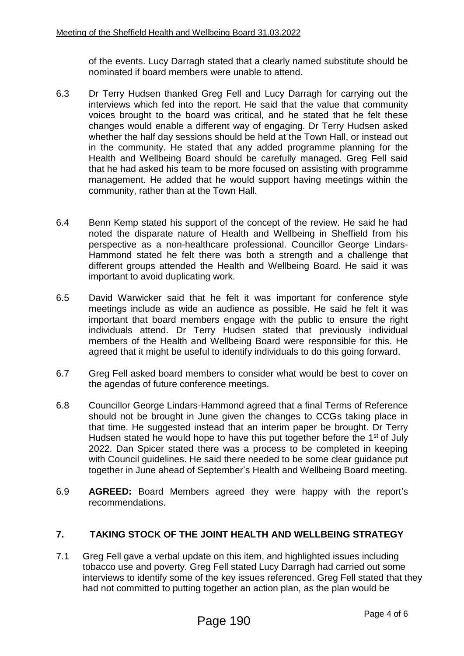of the events. Lucy Darragh stated that a clearly named substitute should be nominated if board members were unable to attend.

- 6.3 Dr Terry Hudsen thanked Greg Fell and Lucy Darragh for carrying out the interviews which fed into the report. He said that the value that community voices brought to the board was critical, and he stated that he felt these changes would enable a different way of engaging. Dr Terry Hudsen asked whether the half day sessions should be held at the Town Hall, or instead out in the community. He stated that any added programme planning for the Health and Wellbeing Board should be carefully managed. Greg Fell said that he had asked his team to be more focused on assisting with programme management. He added that he would support having meetings within the community, rather than at the Town Hall.
- 6.4 Benn Kemp stated his support of the concept of the review. He said he had noted the disparate nature of Health and Wellbeing in Sheffield from his perspective as a non-healthcare professional. Councillor George Lindars-Hammond stated he felt there was both a strength and a challenge that different groups attended the Health and Wellbeing Board. He said it was important to avoid duplicating work.
- 6.5 David Warwicker said that he felt it was important for conference style meetings include as wide an audience as possible. He said he felt it was important that board members engage with the public to ensure the right individuals attend. Dr Terry Hudsen stated that previously individual members of the Health and Wellbeing Board were responsible for this. He agreed that it might be useful to identify individuals to do this going forward.
- 6.7 Greg Fell asked board members to consider what would be best to cover on the agendas of future conference meetings.
- 6.8 Councillor George Lindars-Hammond agreed that a final Terms of Reference should not be brought in June given the changes to CCGs taking place in that time. He suggested instead that an interim paper be brought. Dr Terry Hudsen stated he would hope to have this put together before the 1<sup>st</sup> of July 2022. Dan Spicer stated there was a process to be completed in keeping with Council guidelines. He said there needed to be some clear guidance put together in June ahead of September's Health and Wellbeing Board meeting.
- 6.9 **AGREED:** Board Members agreed they were happy with the report's recommendations.

# **7. TAKING STOCK OF THE JOINT HEALTH AND WELLBEING STRATEGY**

7.1 Greg Fell gave a verbal update on this item, and highlighted issues including tobacco use and poverty. Greg Fell stated Lucy Darragh had carried out some interviews to identify some of the key issues referenced. Greg Fell stated that they had not committed to putting together an action plan, as the plan would be